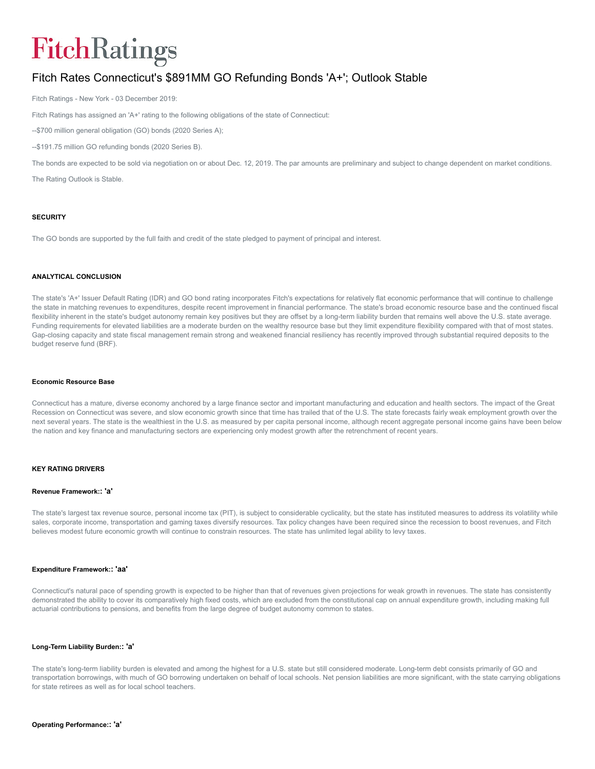# **FitchRatings**

# Fitch Rates Connecticut's \$891MM GO Refunding Bonds 'A+'; Outlook Stable

Fitch Ratings - New York - 03 December 2019:

Fitch Ratings has assigned an 'A+' rating to the following obligations of the state of Connecticut:

--\$700 million general obligation (GO) bonds (2020 Series A);

--\$191.75 million GO refunding bonds (2020 Series B).

The bonds are expected to be sold via negotiation on or about Dec. 12, 2019. The par amounts are preliminary and subject to change dependent on market conditions.

The Rating Outlook is Stable.

# **SECURITY**

The GO bonds are supported by the full faith and credit of the state pledged to payment of principal and interest.

#### **ANALYTICAL CONCLUSION**

The state's 'A+' Issuer Default Rating (IDR) and GO bond rating incorporates Fitch's expectations for relatively flat economic performance that will continue to challenge the state in matching revenues to expenditures, despite recent improvement in financial performance. The state's broad economic resource base and the continued fiscal flexibility inherent in the state's budget autonomy remain key positives but they are offset by a long-term liability burden that remains well above the U.S. state average. Funding requirements for elevated liabilities are a moderate burden on the wealthy resource base but they limit expenditure flexibility compared with that of most states. Gap-closing capacity and state fiscal management remain strong and weakened financial resiliency has recently improved through substantial required deposits to the budget reserve fund (BRF).

#### **Economic Resource Base**

Connecticut has a mature, diverse economy anchored by a large finance sector and important manufacturing and education and health sectors. The impact of the Great Recession on Connecticut was severe, and slow economic growth since that time has trailed that of the U.S. The state forecasts fairly weak employment growth over the next several years. The state is the wealthiest in the U.S. as measured by per capita personal income, although recent aggregate personal income gains have been below the nation and key finance and manufacturing sectors are experiencing only modest growth after the retrenchment of recent years.

#### **KEY RATING DRIVERS**

#### **Revenue Framework:: 'a'**

The state's largest tax revenue source, personal income tax (PIT), is subject to considerable cyclicality, but the state has instituted measures to address its volatility while sales, corporate income, transportation and gaming taxes diversify resources. Tax policy changes have been required since the recession to boost revenues, and Fitch believes modest future economic growth will continue to constrain resources. The state has unlimited legal ability to levy taxes.

#### **Expenditure Framework:: 'aa'**

Connecticut's natural pace of spending growth is expected to be higher than that of revenues given projections for weak growth in revenues. The state has consistently demonstrated the ability to cover its comparatively high fixed costs, which are excluded from the constitutional cap on annual expenditure growth, including making full actuarial contributions to pensions, and benefits from the large degree of budget autonomy common to states.

#### **Long-Term Liability Burden:: 'a'**

The state's long-term liability burden is elevated and among the highest for a U.S. state but still considered moderate. Long-term debt consists primarily of GO and transportation borrowings, with much of GO borrowing undertaken on behalf of local schools. Net pension liabilities are more significant, with the state carrying obligations for state retirees as well as for local school teachers.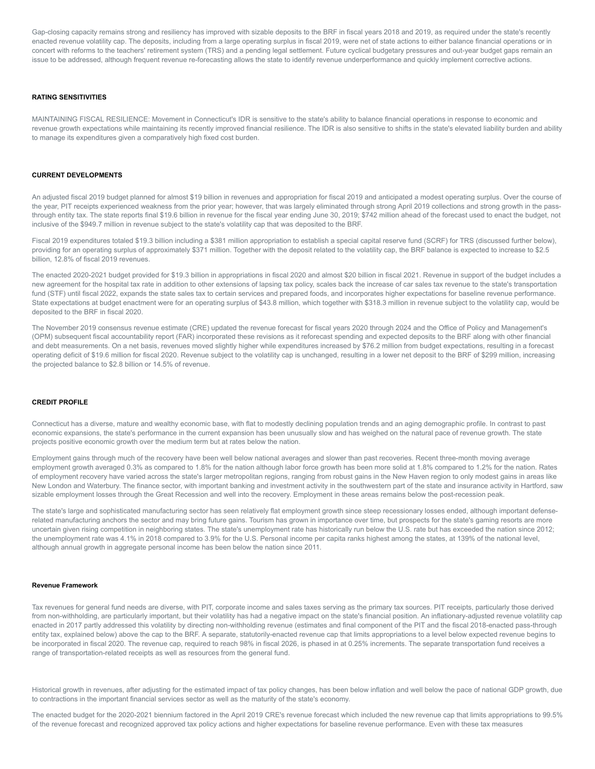Gap-closing capacity remains strong and resiliency has improved with sizable deposits to the BRF in fiscal years 2018 and 2019, as required under the state's recently enacted revenue volatility cap. The deposits, including from a large operating surplus in fiscal 2019, were net of state actions to either balance financial operations or in concert with reforms to the teachers' retirement system (TRS) and a pending legal settlement. Future cyclical budgetary pressures and out-year budget gaps remain an issue to be addressed, although frequent revenue re-forecasting allows the state to identify revenue underperformance and quickly implement corrective actions.

# **RATING SENSITIVITIES**

MAINTAINING FISCAL RESILIENCE: Movement in Connecticut's IDR is sensitive to the state's ability to balance financial operations in response to economic and revenue growth expectations while maintaining its recently improved financial resilience. The IDR is also sensitive to shifts in the state's elevated liability burden and ability to manage its expenditures given a comparatively high fixed cost burden.

#### **CURRENT DEVELOPMENTS**

An adjusted fiscal 2019 budget planned for almost \$19 billion in revenues and appropriation for fiscal 2019 and anticipated a modest operating surplus. Over the course of the year, PIT receipts experienced weakness from the prior year; however, that was largely eliminated through strong April 2019 collections and strong growth in the passthrough entity tax. The state reports final \$19.6 billion in revenue for the fiscal year ending June 30, 2019; \$742 million ahead of the forecast used to enact the budget, not inclusive of the \$949.7 million in revenue subject to the state's volatility cap that was deposited to the BRF.

Fiscal 2019 expenditures totaled \$19.3 billion including a \$381 million appropriation to establish a special capital reserve fund (SCRF) for TRS (discussed further below), providing for an operating surplus of approximately \$371 million. Together with the deposit related to the volatility cap, the BRF balance is expected to increase to \$2.5 billion, 12.8% of fiscal 2019 revenues.

The enacted 2020-2021 budget provided for \$19.3 billion in appropriations in fiscal 2020 and almost \$20 billion in fiscal 2021. Revenue in support of the budget includes a new agreement for the hospital tax rate in addition to other extensions of lapsing tax policy, scales back the increase of car sales tax revenue to the state's transportation fund (STF) until fiscal 2022, expands the state sales tax to certain services and prepared foods, and incorporates higher expectations for baseline revenue performance. State expectations at budget enactment were for an operating surplus of \$43.8 million, which together with \$318.3 million in revenue subject to the volatility cap, would be deposited to the BRF in fiscal 2020.

The November 2019 consensus revenue estimate (CRE) updated the revenue forecast for fiscal years 2020 through 2024 and the Office of Policy and Management's (OPM) subsequent fiscal accountability report (FAR) incorporated these revisions as it reforecast spending and expected deposits to the BRF along with other financial and debt measurements. On a net basis, revenues moved slightly higher while expenditures increased by \$76.2 million from budget expectations, resulting in a forecast operating deficit of \$19.6 million for fiscal 2020. Revenue subject to the volatility cap is unchanged, resulting in a lower net deposit to the BRF of \$299 million, increasing the projected balance to \$2.8 billion or 14.5% of revenue.

#### **CREDIT PROFILE**

Connecticut has a diverse, mature and wealthy economic base, with flat to modestly declining population trends and an aging demographic profile. In contrast to past economic expansions, the state's performance in the current expansion has been unusually slow and has weighed on the natural pace of revenue growth. The state projects positive economic growth over the medium term but at rates below the nation.

Employment gains through much of the recovery have been well below national averages and slower than past recoveries. Recent three-month moving average employment growth averaged 0.3% as compared to 1.8% for the nation although labor force growth has been more solid at 1.8% compared to 1.2% for the nation. Rates of employment recovery have varied across the state's larger metropolitan regions, ranging from robust gains in the New Haven region to only modest gains in areas like New London and Waterbury. The finance sector, with important banking and investment activity in the southwestern part of the state and insurance activity in Hartford, saw sizable employment losses through the Great Recession and well into the recovery. Employment in these areas remains below the post-recession peak.

The state's large and sophisticated manufacturing sector has seen relatively flat employment growth since steep recessionary losses ended, although important defenserelated manufacturing anchors the sector and may bring future gains. Tourism has grown in importance over time, but prospects for the state's gaming resorts are more uncertain given rising competition in neighboring states. The state's unemployment rate has historically run below the U.S. rate but has exceeded the nation since 2012; the unemployment rate was 4.1% in 2018 compared to 3.9% for the U.S. Personal income per capita ranks highest among the states, at 139% of the national level, although annual growth in aggregate personal income has been below the nation since 2011.

#### **Revenue Framework**

Tax revenues for general fund needs are diverse, with PIT, corporate income and sales taxes serving as the primary tax sources. PIT receipts, particularly those derived from non-withholding, are particularly important, but their volatility has had a negative impact on the state's financial position. An inflationary-adjusted revenue volatility cap enacted in 2017 partly addressed this volatility by directing non-withholding revenue (estimates and final component of the PIT and the fiscal 2018-enacted pass-through entity tax, explained below) above the cap to the BRF. A separate, statutorily-enacted revenue cap that limits appropriations to a level below expected revenue begins to be incorporated in fiscal 2020. The revenue cap, required to reach 98% in fiscal 2026, is phased in at 0.25% increments. The separate transportation fund receives a range of transportation-related receipts as well as resources from the general fund.

Historical growth in revenues, after adjusting for the estimated impact of tax policy changes, has been below inflation and well below the pace of national GDP growth, due to contractions in the important financial services sector as well as the maturity of the state's economy.

The enacted budget for the 2020-2021 biennium factored in the April 2019 CRE's revenue forecast which included the new revenue cap that limits appropriations to 99.5% of the revenue forecast and recognized approved tax policy actions and higher expectations for baseline revenue performance. Even with these tax measures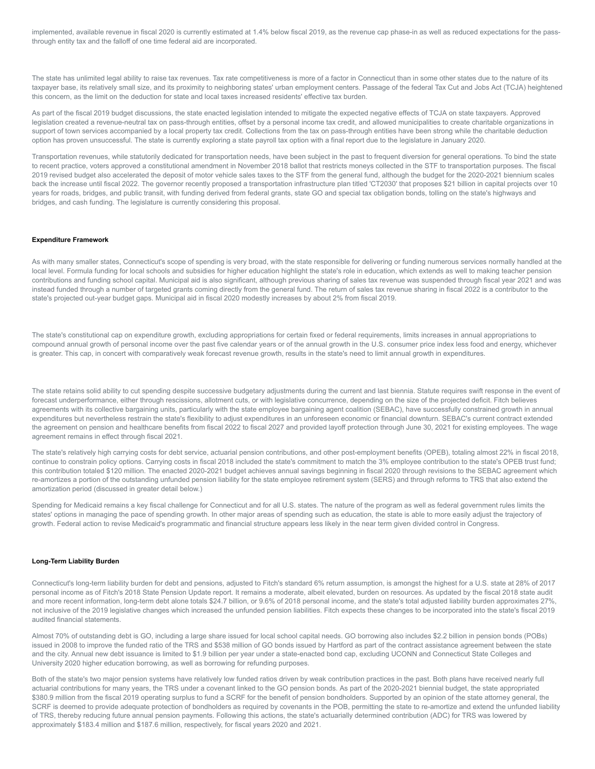implemented, available revenue in fiscal 2020 is currently estimated at 1.4% below fiscal 2019, as the revenue cap phase-in as well as reduced expectations for the passthrough entity tax and the falloff of one time federal aid are incorporated.

The state has unlimited legal ability to raise tax revenues. Tax rate competitiveness is more of a factor in Connecticut than in some other states due to the nature of its taxpayer base, its relatively small size, and its proximity to neighboring states' urban employment centers. Passage of the federal Tax Cut and Jobs Act (TCJA) heightened this concern, as the limit on the deduction for state and local taxes increased residents' effective tax burden.

As part of the fiscal 2019 budget discussions, the state enacted legislation intended to mitigate the expected negative effects of TCJA on state taxpayers. Approved legislation created a revenue-neutral tax on pass-through entities, offset by a personal income tax credit, and allowed municipalities to create charitable organizations in support of town services accompanied by a local property tax credit. Collections from the tax on pass-through entities have been strong while the charitable deduction option has proven unsuccessful. The state is currently exploring a state payroll tax option with a final report due to the legislature in January 2020.

Transportation revenues, while statutorily dedicated for transportation needs, have been subject in the past to frequent diversion for general operations. To bind the state to recent practice, voters approved a constitutional amendment in November 2018 ballot that restricts moneys collected in the STF to transportation purposes. The fiscal 2019 revised budget also accelerated the deposit of motor vehicle sales taxes to the STF from the general fund, although the budget for the 2020-2021 biennium scales back the increase until fiscal 2022. The governor recently proposed a transportation infrastructure plan titled 'CT2030' that proposes \$21 billion in capital projects over 10 years for roads, bridges, and public transit, with funding derived from federal grants, state GO and special tax obligation bonds, tolling on the state's highways and bridges, and cash funding. The legislature is currently considering this proposal.

#### **Expenditure Framework**

As with many smaller states, Connecticut's scope of spending is very broad, with the state responsible for delivering or funding numerous services normally handled at the local level. Formula funding for local schools and subsidies for higher education highlight the state's role in education, which extends as well to making teacher pension contributions and funding school capital. Municipal aid is also significant, although previous sharing of sales tax revenue was suspended through fiscal year 2021 and was instead funded through a number of targeted grants coming directly from the general fund. The return of sales tax revenue sharing in fiscal 2022 is a contributor to the state's projected out-year budget gaps. Municipal aid in fiscal 2020 modestly increases by about 2% from fiscal 2019.

The state's constitutional cap on expenditure growth, excluding appropriations for certain fixed or federal requirements, limits increases in annual appropriations to compound annual growth of personal income over the past five calendar years or of the annual growth in the U.S. consumer price index less food and energy, whichever is greater. This cap, in concert with comparatively weak forecast revenue growth, results in the state's need to limit annual growth in expenditures.

The state retains solid ability to cut spending despite successive budgetary adjustments during the current and last biennia. Statute requires swift response in the event of forecast underperformance, either through rescissions, allotment cuts, or with legislative concurrence, depending on the size of the projected deficit. Fitch believes agreements with its collective bargaining units, particularly with the state employee bargaining agent coalition (SEBAC), have successfully constrained growth in annual expenditures but nevertheless restrain the state's flexibility to adjust expenditures in an unforeseen economic or financial downturn. SEBAC's current contract extended the agreement on pension and healthcare benefits from fiscal 2022 to fiscal 2027 and provided layoff protection through June 30, 2021 for existing employees. The wage agreement remains in effect through fiscal 2021.

The state's relatively high carrying costs for debt service, actuarial pension contributions, and other post-employment benefits (OPEB), totaling almost 22% in fiscal 2018, continue to constrain policy options. Carrying costs in fiscal 2018 included the state's commitment to match the 3% employee contribution to the state's OPEB trust fund; this contribution totaled \$120 million. The enacted 2020-2021 budget achieves annual savings beginning in fiscal 2020 through revisions to the SEBAC agreement which re-amortizes a portion of the outstanding unfunded pension liability for the state employee retirement system (SERS) and through reforms to TRS that also extend the amortization period (discussed in greater detail below.)

Spending for Medicaid remains a key fiscal challenge for Connecticut and for all U.S. states. The nature of the program as well as federal government rules limits the states' options in managing the pace of spending growth. In other major areas of spending such as education, the state is able to more easily adjust the trajectory of growth. Federal action to revise Medicaid's programmatic and financial structure appears less likely in the near term given divided control in Congress.

#### **Long-Term Liability Burden**

Connecticut's long-term liability burden for debt and pensions, adjusted to Fitch's standard 6% return assumption, is amongst the highest for a U.S. state at 28% of 2017 personal income as of Fitch's 2018 State Pension Update report. It remains a moderate, albeit elevated, burden on resources. As updated by the fiscal 2018 state audit and more recent information, long-term debt alone totals \$24.7 billion, or 9.6% of 2018 personal income, and the state's total adjusted liability burden approximates 27%, not inclusive of the 2019 legislative changes which increased the unfunded pension liabilities. Fitch expects these changes to be incorporated into the state's fiscal 2019 audited financial statements.

Almost 70% of outstanding debt is GO, including a large share issued for local school capital needs. GO borrowing also includes \$2.2 billion in pension bonds (POBs) issued in 2008 to improve the funded ratio of the TRS and \$538 million of GO bonds issued by Hartford as part of the contract assistance agreement between the state and the city. Annual new debt issuance is limited to \$1.9 billion per year under a state-enacted bond cap, excluding UCONN and Connecticut State Colleges and University 2020 higher education borrowing, as well as borrowing for refunding purposes.

Both of the state's two major pension systems have relatively low funded ratios driven by weak contribution practices in the past. Both plans have received nearly full actuarial contributions for many years, the TRS under a covenant linked to the GO pension bonds. As part of the 2020-2021 biennial budget, the state appropriated \$380.9 million from the fiscal 2019 operating surplus to fund a SCRF for the benefit of pension bondholders. Supported by an opinion of the state attorney general, the SCRF is deemed to provide adequate protection of bondholders as required by covenants in the POB, permitting the state to re-amortize and extend the unfunded liability of TRS, thereby reducing future annual pension payments. Following this actions, the state's actuarially determined contribution (ADC) for TRS was lowered by approximately \$183.4 million and \$187.6 million, respectively, for fiscal years 2020 and 2021.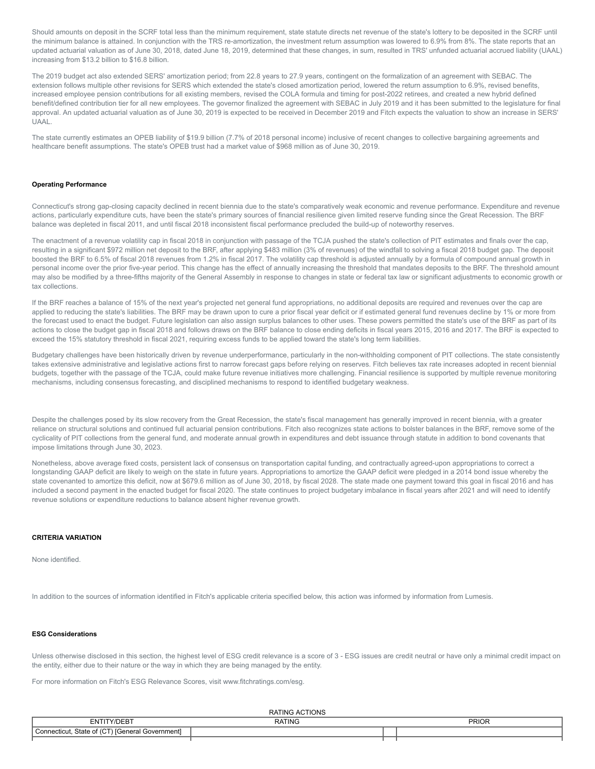Should amounts on deposit in the SCRF total less than the minimum requirement, state statute directs net revenue of the state's lottery to be deposited in the SCRF until the minimum balance is attained. In conjunction with the TRS re-amortization, the investment return assumption was lowered to 6.9% from 8%. The state reports that an updated actuarial valuation as of June 30, 2018, dated June 18, 2019, determined that these changes, in sum, resulted in TRS' unfunded actuarial accrued liability (UAAL) increasing from \$13.2 billion to \$16.8 billion.

The 2019 budget act also extended SERS' amortization period; from 22.8 years to 27.9 years, contingent on the formalization of an agreement with SEBAC. The extension follows multiple other revisions for SERS which extended the state's closed amortization period, lowered the return assumption to 6.9%, revised benefits, increased employee pension contributions for all existing members, revised the COLA formula and timing for post-2022 retirees, and created a new hybrid defined benefit/defined contribution tier for all new employees. The governor finalized the agreement with SEBAC in July 2019 and it has been submitted to the legislature for final approval. An updated actuarial valuation as of June 30, 2019 is expected to be received in December 2019 and Fitch expects the valuation to show an increase in SERS' UAAL.

The state currently estimates an OPEB liability of \$19.9 billion (7.7% of 2018 personal income) inclusive of recent changes to collective bargaining agreements and healthcare benefit assumptions. The state's OPEB trust had a market value of \$968 million as of June 30, 2019.

#### **Operating Performance**

Connecticut's strong gap-closing capacity declined in recent biennia due to the state's comparatively weak economic and revenue performance. Expenditure and revenue actions, particularly expenditure cuts, have been the state's primary sources of financial resilience given limited reserve funding since the Great Recession. The BRF balance was depleted in fiscal 2011, and until fiscal 2018 inconsistent fiscal performance precluded the build-up of noteworthy reserves.

The enactment of a revenue volatility cap in fiscal 2018 in conjunction with passage of the TCJA pushed the state's collection of PIT estimates and finals over the cap, resulting in a significant \$972 million net deposit to the BRF, after applying \$483 million (3% of revenues) of the windfall to solving a fiscal 2018 budget gap. The deposit boosted the BRF to 6.5% of fiscal 2018 revenues from 1.2% in fiscal 2017. The volatility cap threshold is adjusted annually by a formula of compound annual growth in personal income over the prior five-year period. This change has the effect of annually increasing the threshold that mandates deposits to the BRF. The threshold amount may also be modified by a three-fifths majority of the General Assembly in response to changes in state or federal tax law or significant adjustments to economic growth or tax collections.

If the BRF reaches a balance of 15% of the next year's projected net general fund appropriations, no additional deposits are required and revenues over the cap are applied to reducing the state's liabilities. The BRF may be drawn upon to cure a prior fiscal year deficit or if estimated general fund revenues decline by 1% or more from the forecast used to enact the budget. Future legislation can also assign surplus balances to other uses. These powers permitted the state's use of the BRF as part of its actions to close the budget gap in fiscal 2018 and follows draws on the BRF balance to close ending deficits in fiscal years 2015, 2016 and 2017. The BRF is expected to exceed the 15% statutory threshold in fiscal 2021, requiring excess funds to be applied toward the state's long term liabilities.

Budgetary challenges have been historically driven by revenue underperformance, particularly in the non-withholding component of PIT collections. The state consistently takes extensive administrative and legislative actions first to narrow forecast gaps before relying on reserves. Fitch believes tax rate increases adopted in recent biennial budgets, together with the passage of the TCJA, could make future revenue initiatives more challenging. Financial resilience is supported by multiple revenue monitoring mechanisms, including consensus forecasting, and disciplined mechanisms to respond to identified budgetary weakness.

Despite the challenges posed by its slow recovery from the Great Recession, the state's fiscal management has generally improved in recent biennia, with a greater reliance on structural solutions and continued full actuarial pension contributions. Fitch also recognizes state actions to bolster balances in the BRF, remove some of the cyclicality of PIT collections from the general fund, and moderate annual growth in expenditures and debt issuance through statute in addition to bond covenants that impose limitations through June 30, 2023.

Nonetheless, above average fixed costs, persistent lack of consensus on transportation capital funding, and contractually agreed-upon appropriations to correct a longstanding GAAP deficit are likely to weigh on the state in future years. Appropriations to amortize the GAAP deficit were pledged in a 2014 bond issue whereby the state covenanted to amortize this deficit, now at \$679.6 million as of June 30, 2018, by fiscal 2028. The state made one payment toward this goal in fiscal 2016 and has included a second payment in the enacted budget for fiscal 2020. The state continues to project budgetary imbalance in fiscal years after 2021 and will need to identify revenue solutions or expenditure reductions to balance absent higher revenue growth.

# **CRITERIA VARIATION**

None identified.

In addition to the sources of information identified in Fitch's applicable criteria specified below, this action was informed by information from Lumesis.

# **ESG Considerations**

Unless otherwise disclosed in this section, the highest level of ESG credit relevance is a score of 3 - ESG issues are credit neutral or have only a minimal credit impact on the entity, either due to their nature or the way in which they are being managed by the entity.

For more information on Fitch's ESG Relevance Scores, visit [www.fitchratings.com/esg.](https://www.fitchratings.com/esg)

| <b>ACTIONS</b><br>RATING                                                                     |               |  |              |
|----------------------------------------------------------------------------------------------|---------------|--|--------------|
| i Y/DEBT<br>ENT'                                                                             | <b>RATING</b> |  | <b>PRIOF</b> |
| State of (C <sup>-</sup><br>$\sim$ $\sim$ $\sim$<br>Connecticut.<br>General<br>  Governmentl |               |  |              |
|                                                                                              |               |  |              |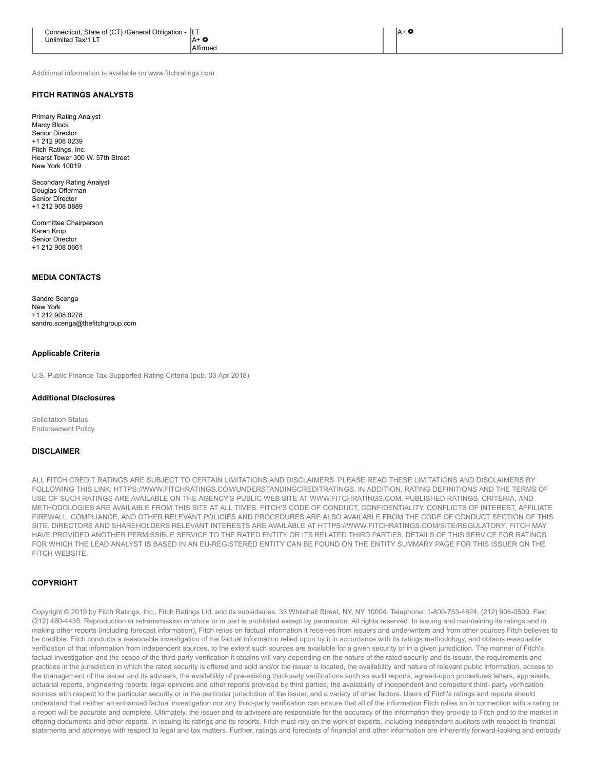Additional information is available on www.fitchratings.com

#### **FITCH RATINGS ANALYSTS**

Primary Rating Analyst Marcy Block Senior Director +1 212 908 0239 Fitch Ratings, Inc. Hearst Tower 300 W. 57th Street New York 10019

Secondary Rating Analyst Douglas Offerman Senior Director +1 212 908 0889

Committee Chairperson Karen Krop Senior Director +1 212 908 0661

## **MEDIA CONTACTS**

Sandro Scenga New York +1 212 908 0278 sandro.scenga@thefitchgroup.com

#### **Applicable Criteria**

U.S. Public Finance [Tax-Supported](https://www.fitchratings.com/site/re/10024656) Rating Criteria (pub. 03 Apr 2018)

#### **Additional Disclosures**

Solicitation Status [Endorsement](https://www.fitchratings.com/site/regulatory) Policy

# **DISCLAIMER**

ALL FITCH CREDIT RATINGS ARE SUBJECT TO CERTAIN LIMITATIONS AND DISCLAIMERS. PLEASE READ THESE LIMITATIONS AND DISCLAIMERS BY FOLLOWING THIS LINK: [HTTPS://WWW.FITCHRATINGS.COM/UNDERSTANDINGCREDITRATINGS.](https://www.fitchratings.com/UNDERSTANDINGCREDITRATINGS) IN ADDITION, RATING DEFINITIONS AND THE TERMS OF USE OF SUCH RATINGS ARE AVAILABLE ON THE AGENCY'S PUBLIC WEB SITE AT [WWW.FITCHRATINGS.COM.](https://www.fitchratings.com/site/home) PUBLISHED RATINGS, CRITERIA, AND METHODOLOGIES ARE AVAILABLE FROM THIS SITE AT ALL TIMES. FITCH'S CODE OF CONDUCT, CONFIDENTIALITY, CONFLICTS OF INTEREST, AFFILIATE FIREWALL, COMPLIANCE, AND OTHER RELEVANT POLICIES AND PROCEDURES ARE ALSO AVAILABLE FROM THE CODE OF CONDUCT SECTION OF THIS SITE. DIRECTORS AND SHAREHOLDERS RELEVANT INTERESTS ARE AVAILABLE AT [HTTPS://WWW.FITCHRATINGS.COM/SITE/REGULATORY.](https://www.fitchratings.com/site/regulatory) FITCH MAY HAVE PROVIDED ANOTHER PERMISSIBLE SERVICE TO THE RATED ENTITY OR ITS RELATED THIRD PARTIES. DETAILS OF THIS SERVICE FOR RATINGS FOR WHICH THE LEAD ANALYST IS BASED IN AN EU-REGISTERED ENTITY CAN BE FOUND ON THE ENTITY SUMMARY PAGE FOR THIS ISSUER ON THE FITCH WEBSITE.

#### **COPYRIGHT**

Copyright © 2019 by Fitch Ratings, Inc., Fitch Ratings Ltd. and its subsidiaries. 33 Whitehall Street, NY, NY 10004. Telephone: 1-800-753-4824, (212) 908-0500. Fax: (212) 480-4435. Reproduction or retransmission in whole or in part is prohibited except by permission. All rights reserved. In issuing and maintaining its ratings and in making other reports (including forecast information), Fitch relies on factual information it receives from issuers and underwriters and from other sources Fitch believes to be credible. Fitch conducts a reasonable investigation of the factual information relied upon by it in accordance with its ratings methodology, and obtains reasonable verification of that information from independent sources, to the extent such sources are available for a given security or in a given jurisdiction. The manner of Fitch's factual investigation and the scope of the third-party verification it obtains will vary depending on the nature of the rated security and its issuer, the requirements and practices in the jurisdiction in which the rated security is offered and sold and/or the issuer is located, the availability and nature of relevant public information, access to the management of the issuer and its advisers, the availability of pre-existing third-party verifications such as audit reports, agreed-upon procedures letters, appraisals, actuarial reports, engineering reports, legal opinions and other reports provided by third parties, the availability of independent and competent third- party verification sources with respect to the particular security or in the particular jurisdiction of the issuer, and a variety of other factors. Users of Fitch's ratings and reports should understand that neither an enhanced factual investigation nor any third-party verification can ensure that all of the information Fitch relies on in connection with a rating or a report will be accurate and complete. Ultimately, the issuer and its advisers are responsible for the accuracy of the information they provide to Fitch and to the market in offering documents and other reports. In issuing its ratings and its reports, Fitch must rely on the work of experts, including independent auditors with respect to financial statements and attorneys with respect to legal and tax matters. Further, ratings and forecasts of financial and other information are inherently forward-looking and embody